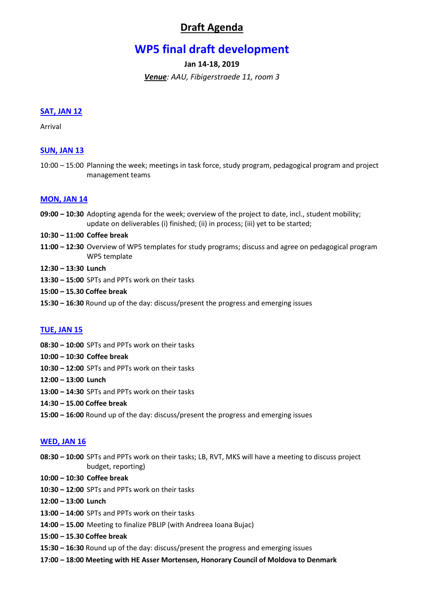# **Draft Agenda**

# **WP5 final draft development**

**Jan 14-18, 2019**

*Venue: AAU, Fibigerstraede 11, room 3*

#### **SAT, JAN 12**

Arrival

# **SUN, JAN 13**

10:00 – 15:00 Planning the week; meetings in task force, study program, pedagogical program and project management teams

#### **MON, JAN 14**

- **09:00 – 10:30** Adopting agenda for the week; overview of the project to date, incl., student mobility; update on deliverables (i) finished; (ii) in process; (iii) yet to be started;
- **10:30 – 11:00 Coffee break**
- **11:00 – 12:30** Overview of WP5 templates for study programs; discuss and agree on pedagogical program WP5 template
- **12:30 – 13:30 Lunch**
- **13:30 – 15:00** SPTs and PPTs work on their tasks
- **15:00 – 15.30 Coffee break**
- **15:30 – 16:30** Round up of the day: discuss/present the progress and emerging issues

# **TUE, JAN 15**

- **08:30 – 10:00** SPTs and PPTs work on their tasks
- **10:00 – 10:30 Coffee break**
- **10:30 – 12:00** SPTs and PPTs work on their tasks
- **12:00 – 13:00 Lunch**
- **13:00 – 14:30** SPTs and PPTs work on their tasks
- **14:30 – 15.00 Coffee break**
- **15:00 – 16:00** Round up of the day: discuss/present the progress and emerging issues

#### **WED, JAN 16**

- **08:30 – 10:00** SPTs and PPTs work on their tasks; LB, RVT, MKS will have a meeting to discuss project budget, reporting)
- **10:00 – 10:30 Coffee break**
- **10:30 – 12:00** SPTs and PPTs work on their tasks
- **12:00 – 13:00 Lunch**
- **13:00 – 14:00** SPTs and PPTs work on their tasks
- **14:00 – 15.00** Meeting to finalize PBLIP (with Andreea Ioana Bujac)
- **15:00 – 15.30 Coffee break**
- **15:30 – 16:30** Round up of the day: discuss/present the progress and emerging issues
- **17:00 – 18:00 Meeting with HE Asser Mortensen, Honorary Council of Moldova to Denmark**